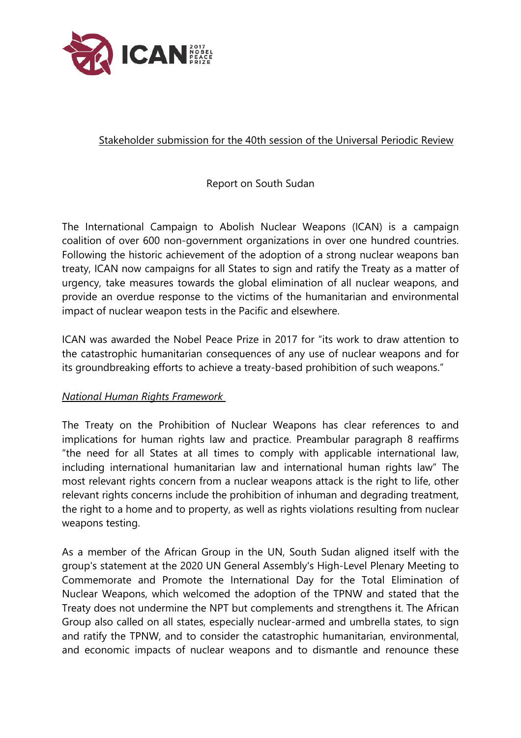

## Stakeholder submission for the 40th session of the Universal Periodic Review

## Report on South Sudan

The International Campaign to Abolish Nuclear Weapons (ICAN) is <sup>a</sup> campaign coalition of over 600 non-governmen<sup>t</sup> organizations in over one hundred countries. Following the historic achievement of the adoption of <sup>a</sup> strong nuclear weapons ban treaty, ICAN now campaigns for all States to sign and ratify the Treaty as <sup>a</sup> matter of urgency, take measures towards the global elimination of all nuclear weapons, and provide an overdue response to the victims of the humanitarian and environmental impact of nuclear weapon tests in the Pacific and elsewhere.

ICAN was awarded the Nobel Peace Prize in 2017 for "its work to draw attention to the catastrophic humanitarian consequences of any use of nuclear weapons and for its groundbreaking efforts to achieve <sup>a</sup> treaty-based prohibition of such weapons."

## *National Human Rights Framework*

The Treaty on the Prohibition of Nuclear Weapons has clear references to and implications for human rights law and practice. Preambular paragraph 8 reaffirms "the need for all States at all times to comply with applicable international law, including international humanitarian law and international human rights law" The most relevant rights concern from <sup>a</sup> nuclear weapons attack is the right to life, other relevant rights concerns include the prohibition of inhuman and degrading treatment, the right to <sup>a</sup> home and to property, as well as rights violations resulting from nuclear weapons testing.

As <sup>a</sup> member of the African Group in the UN, South Sudan aligned itself with the group's statement at the 2020 UN General Assembly's High-Level Plenary Meeting to Commemorate and Promote the International Day for the Total Elimination of Nuclear Weapons, which welcomed the adoption of the TPNW and stated that the Treaty does not undermine the NPT but complements and strengthens it. The African Group also called on all states, especially nuclear-armed and umbrella states, to sign and ratify the TPNW, and to consider the catastrophic humanitarian, environmental, and economic impacts of nuclear weapons and to dismantle and renounce these